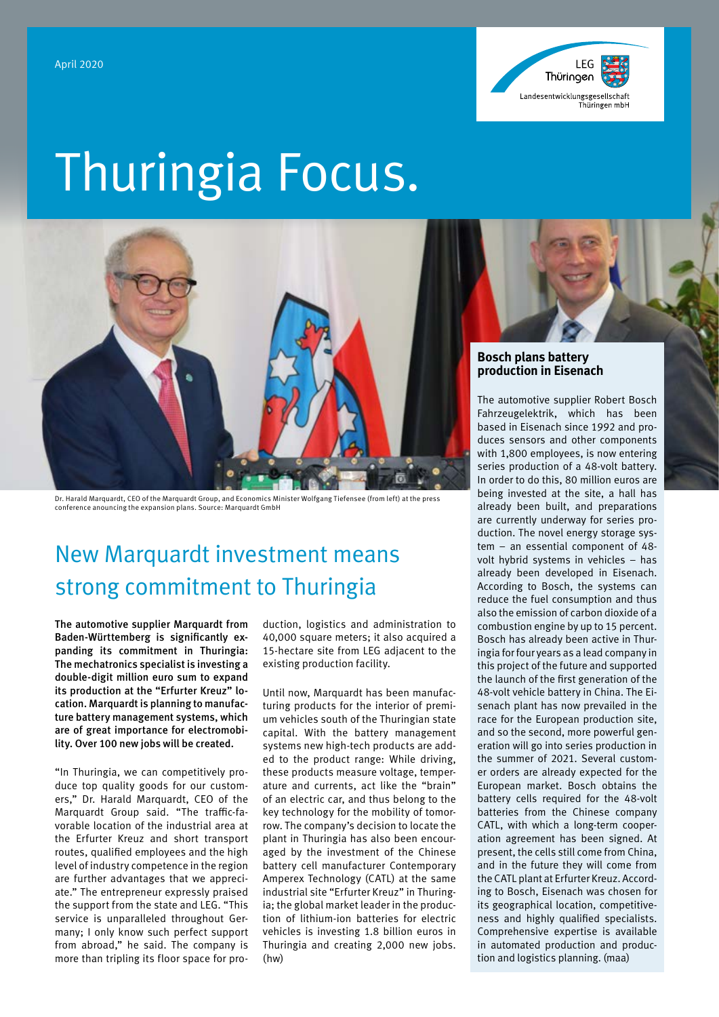

# Thuringia Focus.



Dr. Harald Marquardt, CEO of the Marquardt Group, and Economics Minister Wolfgang Tiefensee (from left) at the press conference anouncing the expansion plans. Source: Marquardt GmbH

# New Marquardt investment means strong commitment to Thuringia

The automotive supplier Marquardt from Baden-Württemberg is significantly expanding its commitment in Thuringia: The mechatronics specialist is investing a double-digit million euro sum to expand its production at the "Erfurter Kreuz" location. Marquardt is planning to manufacture battery management systems, which are of great importance for electromobility. Over 100 new jobs will be created.

"In Thuringia, we can competitively produce top quality goods for our customers," Dr. Harald Marquardt, CEO of the Marquardt Group said. "The traffic-favorable location of the industrial area at the Erfurter Kreuz and short transport routes, qualified employees and the high level of industry competence in the region are further advantages that we appreciate." The entrepreneur expressly praised the support from the state and LEG. "This service is unparalleled throughout Germany; I only know such perfect support from abroad," he said. The company is more than tripling its floor space for production, logistics and administration to 40,000 square meters; it also acquired a 15-hectare site from LEG adjacent to the existing production facility.

Until now, Marquardt has been manufacturing products for the interior of premium vehicles south of the Thuringian state capital. With the battery management systems new high-tech products are added to the product range: While driving, these products measure voltage, temperature and currents, act like the "brain" of an electric car, and thus belong to the key technology for the mobility of tomorrow. The company's decision to locate the plant in Thuringia has also been encouraged by the investment of the Chinese battery cell manufacturer Contemporary Amperex Technology (CATL) at the same industrial site "Erfurter Kreuz" in Thuringia; the global market leader in the production of lithium-ion batteries for electric vehicles is investing 1.8 billion euros in Thuringia and creating 2,000 new jobs. (hw)

### **Bosch plans battery production in Eisenach**

The automotive supplier Robert Bosch Fahrzeugelektrik, which has been based in Eisenach since 1992 and produces sensors and other components with 1,800 employees, is now entering series production of a 48-volt battery. In order to do this, 80 million euros are being invested at the site, a hall has already been built, and preparations are currently underway for series production. The novel energy storage system – an essential component of 48 volt hybrid systems in vehicles – has already been developed in Eisenach. According to Bosch, the systems can reduce the fuel consumption and thus also the emission of carbon dioxide of a combustion engine by up to 15 percent. Bosch has already been active in Thuringia for four years as a lead company in this project of the future and supported the launch of the first generation of the 48-volt vehicle battery in China. The Eisenach plant has now prevailed in the race for the European production site, and so the second, more powerful generation will go into series production in the summer of 2021. Several customer orders are already expected for the European market. Bosch obtains the battery cells required for the 48-volt batteries from the Chinese company CATL, with which a long-term cooperation agreement has been signed. At present, the cells still come from China, and in the future they will come from the CATL plant at Erfurter Kreuz. According to Bosch, Eisenach was chosen for its geographical location, competitiveness and highly qualified specialists. Comprehensive expertise is available in automated production and production and logistics planning. (maa)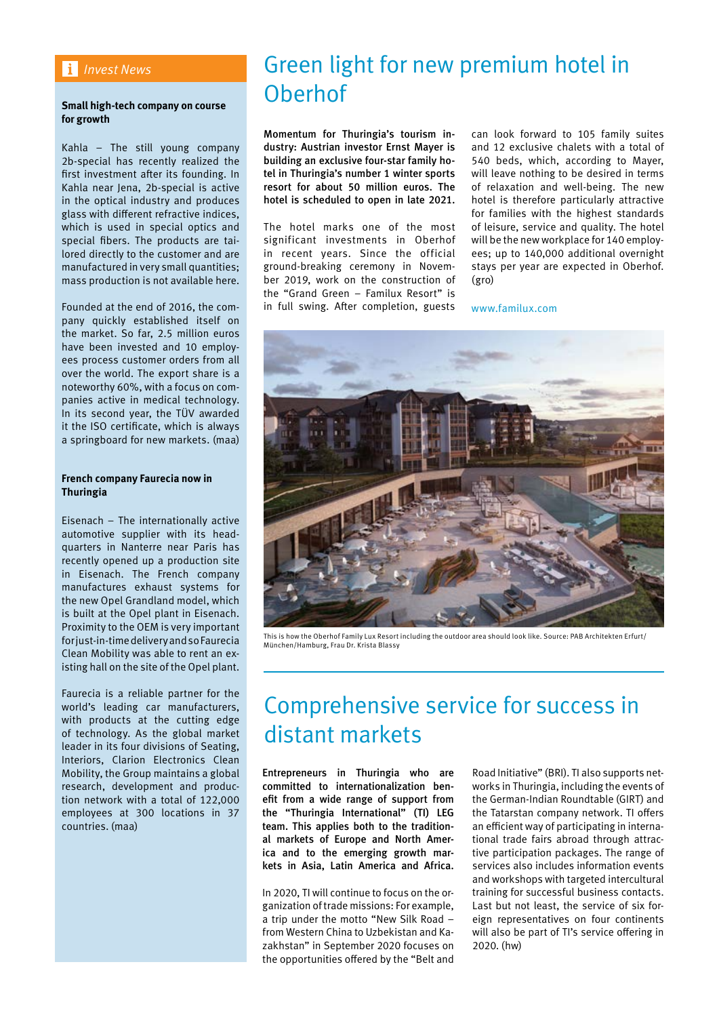### *Invest News*

### **Small high-tech company on course for growth**

Kahla – The still young company 2b-special has recently realized the first investment after its founding. In Kahla near Jena, 2b-special is active in the optical industry and produces glass with different refractive indices, which is used in special optics and special fibers. The products are tailored directly to the customer and are manufactured in very small quantities; mass production is not available here.

Founded at the end of 2016, the company quickly established itself on the market. So far, 2.5 million euros have been invested and 10 employees process customer orders from all over the world. The export share is a noteworthy 60%, with a focus on companies active in medical technology. In its second year, the TÜV awarded it the ISO certificate, which is always a springboard for new markets. (maa)

### **French company Faurecia now in Thuringia**

Eisenach – The internationally active automotive supplier with its headquarters in Nanterre near Paris has recently opened up a production site in Eisenach. The French company manufactures exhaust systems for the new Opel Grandland model, which is built at the Opel plant in Eisenach. Proximity to the OEM is very important for just-in-time delivery and so Faurecia Clean Mobility was able to rent an existing hall on the site of the Opel plant.

Faurecia is a reliable partner for the world's leading car manufacturers, with products at the cutting edge of technology. As the global market leader in its four divisions of Seating, Interiors, Clarion Electronics Clean Mobility, the Group maintains a global research, development and production network with a total of 122,000 employees at 300 locations in 37 countries. (maa)

# Green light for new premium hotel in Oberhof

Momentum for Thuringia's tourism industry: Austrian investor Ernst Mayer is building an exclusive four-star family hotel in Thuringia's number 1 winter sports resort for about 50 million euros. The hotel is scheduled to open in late 2021.

The hotel marks one of the most significant investments in Oberhof in recent years. Since the official ground-breaking ceremony in November 2019, work on the construction of the "Grand Green – Familux Resort" is in full swing. After completion, guests

can look forward to 105 family suites and 12 exclusive chalets with a total of 540 beds, which, according to Mayer, will leave nothing to be desired in terms of relaxation and well-being. The new hotel is therefore particularly attractive for families with the highest standards of leisure, service and quality. The hotel will be the new workplace for 140 employees; up to 140,000 additional overnight stays per year are expected in Oberhof. (gro)

www.familux.com



This is how the Oberhof Family Lux Resort including the outdoor area should look like. Source: PAB Architekten Erfurt/ München/Hamburg, Frau Dr. Krista Blassy

# Comprehensive service for success in distant markets

Entrepreneurs in Thuringia who are committed to internationalization benefit from a wide range of support from the "Thuringia International" (TI) LEG team. This applies both to the traditional markets of Europe and North America and to the emerging growth markets in Asia, Latin America and Africa.

In 2020, TI will continue to focus on the organization of trade missions: For example, a trip under the motto "New Silk Road – from Western China to Uzbekistan and Kazakhstan" in September 2020 focuses on the opportunities offered by the "Belt and Road Initiative" (BRI). TI also supports networks in Thuringia, including the events of the German-Indian Roundtable (GIRT) and the Tatarstan company network. TI offers an efficient way of participating in international trade fairs abroad through attractive participation packages. The range of services also includes information events and workshops with targeted intercultural training for successful business contacts. Last but not least, the service of six foreign representatives on four continents will also be part of TI's service offering in 2020. (hw)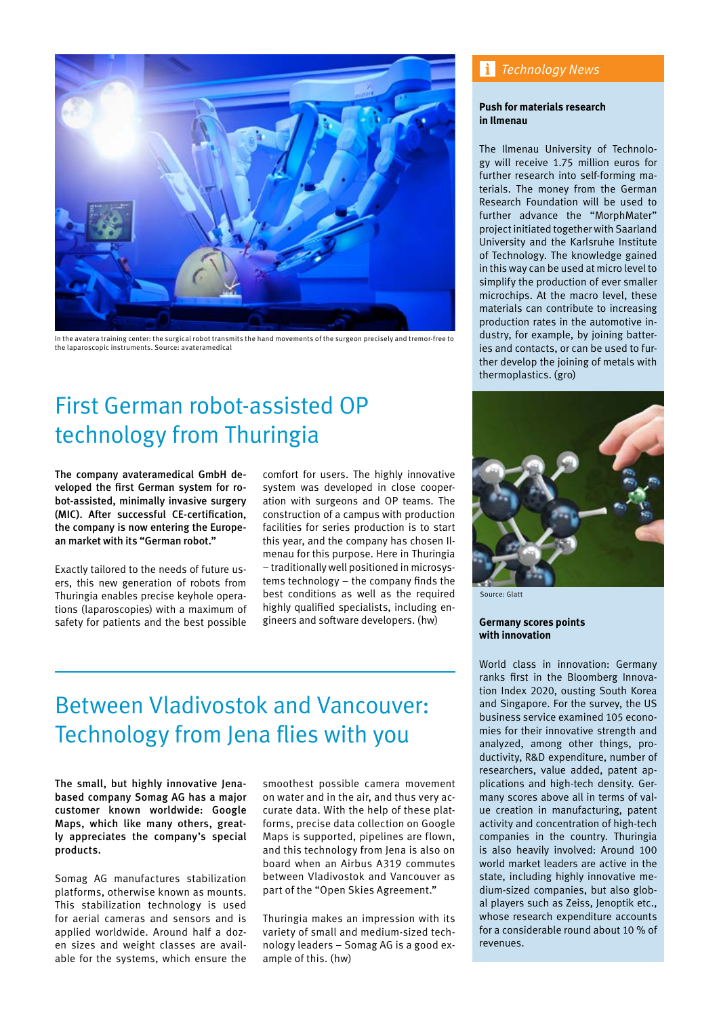

In the avatera training center: the surgical robot transmits the hand movements of the surgeon precisely and tremor-free to the laparoscopic instruments. Source: avateramedical

# First German robot-assisted OP technology from Thuringia

The company avateramedical GmbH developed the first German system for robot-assisted, minimally invasive surgery (MIC). After successful CE-certification, the company is now entering the European market with its "German robot."

Exactly tailored to the needs of future users, this new generation of robots from Thuringia enables precise keyhole operations (laparoscopies) with a maximum of safety for patients and the best possible

comfort for users. The highly innovative system was developed in close cooperation with surgeons and OP teams. The construction of a campus with production facilities for series production is to start this year, and the company has chosen Ilmenau for this purpose. Here in Thuringia – traditionally well positioned in microsystems technology – the company finds the best conditions as well as the required highly qualified specialists, including engineers and software developers. (hw)

# Between Vladivostok and Vancouver: Technology from Jena flies with you

The small, but highly innovative Jenabased company Somag AG has a major customer known worldwide: Google Maps, which like many others, greatly appreciates the company's special products.

Somag AG manufactures stabilization platforms, otherwise known as mounts. This stabilization technology is used for aerial cameras and sensors and is applied worldwide. Around half a dozen sizes and weight classes are available for the systems, which ensure the

smoothest possible camera movement on water and in the air, and thus very accurate data. With the help of these platforms, precise data collection on Google Maps is supported, pipelines are flown, and this technology from Jena is also on board when an Airbus A319 commutes between Vladivostok and Vancouver as part of the "Open Skies Agreement."

Thuringia makes an impression with its variety of small and medium-sized technology leaders – Somag AG is a good example of this. (hw)

## *Technology News*

### **Push for materials research in Ilmenau**

The Ilmenau University of Technology will receive 1.75 million euros for further research into self-forming materials. The money from the German Research Foundation will be used to further advance the "MorphMater" project initiated together with Saarland University and the Karlsruhe Institute of Technology. The knowledge gained in this way can be used at micro level to simplify the production of ever smaller microchips. At the macro level, these materials can contribute to increasing production rates in the automotive industry, for example, by joining batteries and contacts, or can be used to further develop the joining of metals with thermoplastics. (gro)



Source: Glatt

**Germany scores points with innovation**

World class in innovation: Germany ranks first in the Bloomberg Innovation Index 2020, ousting South Korea and Singapore. For the survey, the US business service examined 105 economies for their innovative strength and analyzed, among other things, productivity, R&D expenditure, number of researchers, value added, patent applications and high-tech density. Germany scores above all in terms of value creation in manufacturing, patent activity and concentration of high-tech companies in the country. Thuringia is also heavily involved: Around 100 world market leaders are active in the state, including highly innovative medium-sized companies, but also global players such as Zeiss, Jenoptik etc., whose research expenditure accounts for a considerable round about 10 % of revenues.